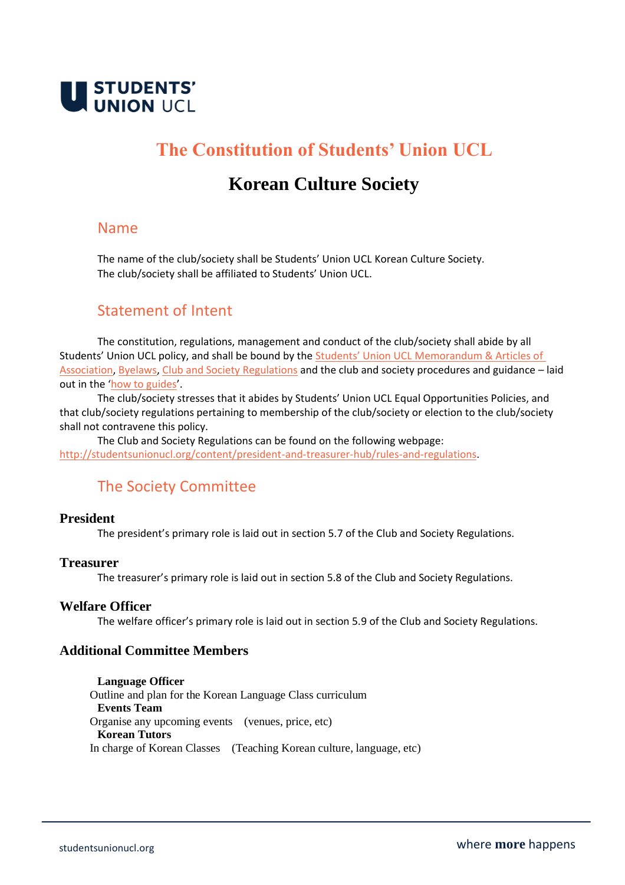

# **The Constitution of Students' Union UCL**

# **Korean Culture Society**

## Name

The name of the club/society shall be Students' Union UCL Korean Culture Society. The club/society shall be affiliated to Students' Union UCL.

## Statement of Intent

The constitution, regulations, management and conduct of the club/society shall abide by all Students' Union UCL policy, and shall be bound by the [Students' Union UCL Memorandum & Arti](http://studentsunionucl.org/governing-documents)cles of [Association, Byelaws,](http://studentsunionucl.org/governing-documents) [Club and Society Regulations](http://studentsunionucl.org/content/president-and-treasurer-hub/rules-and-regulations) and the club and society procedures and guidance – laid out in the '[how to guides](https://studentsunionucl.org/how-to-guides)'.

The club/society stresses that it abides by Students' Union UCL Equal Opportunities Policies, and that club/society regulations pertaining to membership of the club/society or election to the club/society shall not contravene this policy.

The Club and Society Regulations can be found on the following webpage: [http://studentsunionucl.org/content/president-and-treasurer-hub/rules-and-regulations.](http://studentsunionucl.org/content/president-and-treasurer-hub/rules-and-regulations)

# The Society Committee

#### **President**

The president's primary role is laid out in section 5.7 of the Club and Society Regulations.

#### **Treasurer**

The treasurer's primary role is laid out in section 5.8 of the Club and Society Regulations.

#### **Welfare Officer**

The welfare officer's primary role is laid out in section 5.9 of the Club and Society Regulations.

### **Additional Committee Members**

**Language Officer** Outline and plan for the Korean Language Class curriculum **Events Team**  Organise any upcoming events (venues, price, etc) **Korean Tutors**  In charge of Korean Classes (Teaching Korean culture, language, etc)